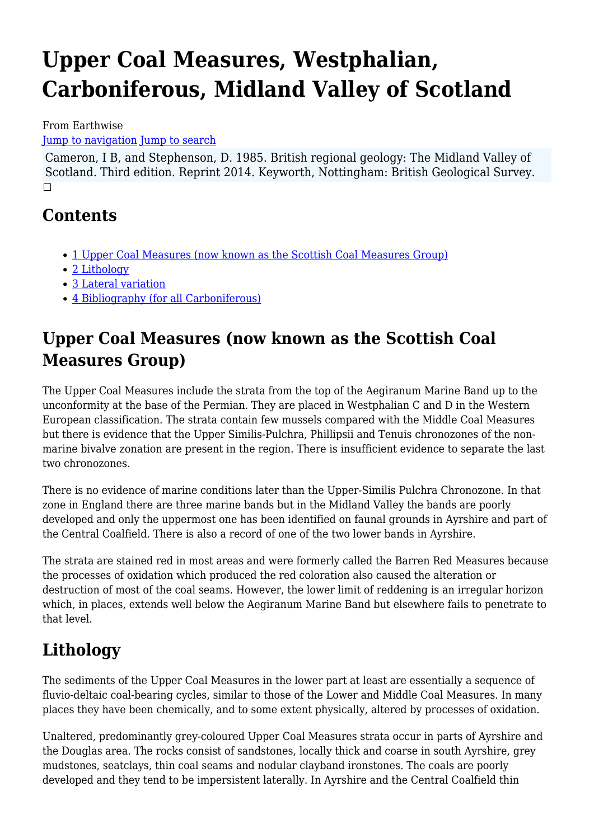# **Upper Coal Measures, Westphalian, Carboniferous, Midland Valley of Scotland**

From Earthwise

[Jump to navigation](#page--1-0) [Jump to search](#page--1-0)

Cameron, I B, and Stephenson, D. 1985. British regional geology: The Midland Valley of Scotland. Third edition. Reprint 2014. Keyworth, Nottingham: British Geological Survey.  $\Box$ 

### **Contents**

- [1](#Upper_Coal_Measures_.28now_known_as_the_Scottish_Coal_Measures_Group.29) [Upper Coal Measures \(now known as the Scottish Coal Measures Group\)](#Upper_Coal_Measures_.28now_known_as_the_Scottish_Coal_Measures_Group.29)
- [2](#page--1-0) [Lithology](#page--1-0)
- [3](#page--1-0) [Lateral variation](#page--1-0)
- [4](#Bibliography_.28for_all_Carboniferous.29) [Bibliography \(for all Carboniferous\)](#Bibliography_.28for_all_Carboniferous.29)

### **Upper Coal Measures (now known as the Scottish Coal Measures Group)**

The Upper Coal Measures include the strata from the top of the Aegiranum Marine Band up to the unconformity at the base of the Permian. They are placed in Westphalian C and D in the Western European classification. The strata contain few mussels compared with the Middle Coal Measures but there is evidence that the Upper Similis-Pulchra, Phillipsii and Tenuis chronozones of the nonmarine bivalve zonation are present in the region. There is insufficient evidence to separate the last two chronozones.

There is no evidence of marine conditions later than the Upper-Similis Pulchra Chronozone. In that zone in England there are three marine bands but in the Midland Valley the bands are poorly developed and only the uppermost one has been identified on faunal grounds in Ayrshire and part of the Central Coalfield. There is also a record of one of the two lower bands in Ayrshire.

The strata are stained red in most areas and were formerly called the Barren Red Measures because the processes of oxidation which produced the red coloration also caused the alteration or destruction of most of the coal seams. However, the lower limit of reddening is an irregular horizon which, in places, extends well below the Aegiranum Marine Band but elsewhere fails to penetrate to that level.

## **Lithology**

The sediments of the Upper Coal Measures in the lower part at least are essentially a sequence of fluvio-deltaic coal-bearing cycles, similar to those of the Lower and Middle Coal Measures. In many places they have been chemically, and to some extent physically, altered by processes of oxidation.

Unaltered, predominantly grey-coloured Upper Coal Measures strata occur in parts of Ayrshire and the Douglas area. The rocks consist of sandstones, locally thick and coarse in south Ayrshire, grey mudstones, seatclays, thin coal seams and nodular clayband ironstones. The coals are poorly developed and they tend to be impersistent laterally. In Ayrshire and the Central Coalfield thin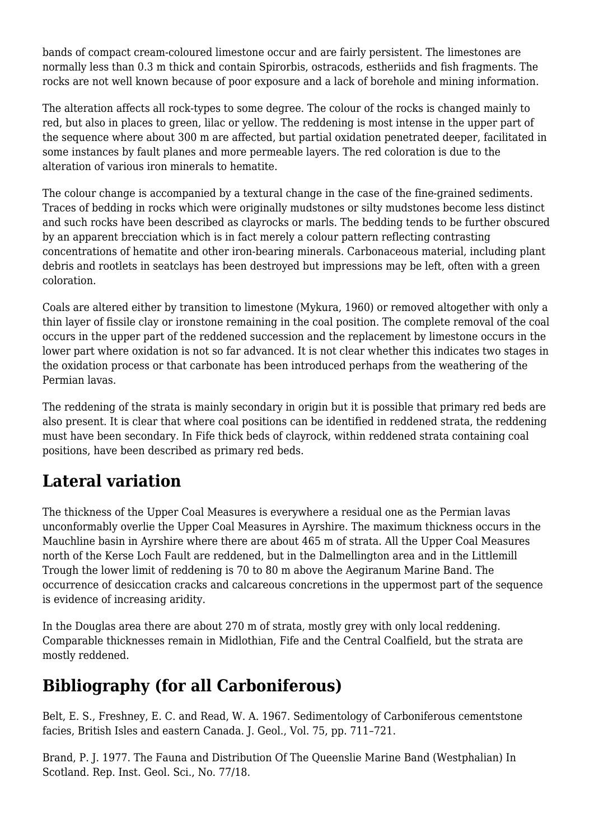bands of compact cream-coloured limestone occur and are fairly persistent. The limestones are normally less than 0.3 m thick and contain Spirorbis, ostracods, estheriids and fish fragments. The rocks are not well known because of poor exposure and a lack of borehole and mining information.

The alteration affects all rock-types to some degree. The colour of the rocks is changed mainly to red, but also in places to green, lilac or yellow. The reddening is most intense in the upper part of the sequence where about 300 m are affected, but partial oxidation penetrated deeper, facilitated in some instances by fault planes and more permeable layers. The red coloration is due to the alteration of various iron minerals to hematite.

The colour change is accompanied by a textural change in the case of the fine-grained sediments. Traces of bedding in rocks which were originally mudstones or silty mudstones become less distinct and such rocks have been described as clayrocks or marls. The bedding tends to be further obscured by an apparent brecciation which is in fact merely a colour pattern reflecting contrasting concentrations of hematite and other iron-bearing minerals. Carbonaceous material, including plant debris and rootlets in seatclays has been destroyed but impressions may be left, often with a green coloration.

Coals are altered either by transition to limestone (Mykura, 1960) or removed altogether with only a thin layer of fissile clay or ironstone remaining in the coal position. The complete removal of the coal occurs in the upper part of the reddened succession and the replacement by limestone occurs in the lower part where oxidation is not so far advanced. It is not clear whether this indicates two stages in the oxidation process or that carbonate has been introduced perhaps from the weathering of the Permian lavas.

The reddening of the strata is mainly secondary in origin but it is possible that primary red beds are also present. It is clear that where coal positions can be identified in reddened strata, the reddening must have been secondary. In Fife thick beds of clayrock, within reddened strata containing coal positions, have been described as primary red beds.

### **Lateral variation**

The thickness of the Upper Coal Measures is everywhere a residual one as the Permian lavas unconformably overlie the Upper Coal Measures in Ayrshire. The maximum thickness occurs in the Mauchline basin in Ayrshire where there are about 465 m of strata. All the Upper Coal Measures north of the Kerse Loch Fault are reddened, but in the Dalmellington area and in the Littlemill Trough the lower limit of reddening is 70 to 80 m above the Aegiranum Marine Band. The occurrence of desiccation cracks and calcareous concretions in the uppermost part of the sequence is evidence of increasing aridity.

In the Douglas area there are about 270 m of strata, mostly grey with only local reddening. Comparable thicknesses remain in Midlothian, Fife and the Central Coalfield, but the strata are mostly reddened.

### **Bibliography (for all Carboniferous)**

Belt, E. S., Freshney, E. C. and Read, W. A. 1967. Sedimentology of Carboniferous cementstone facies, British Isles and eastern Canada. J. Geol., Vol. 75, pp. 711–721.

Brand, P. J. 1977. The Fauna and Distribution Of The Queenslie Marine Band (Westphalian) In Scotland. Rep. Inst. Geol. Sci., No. 77/18.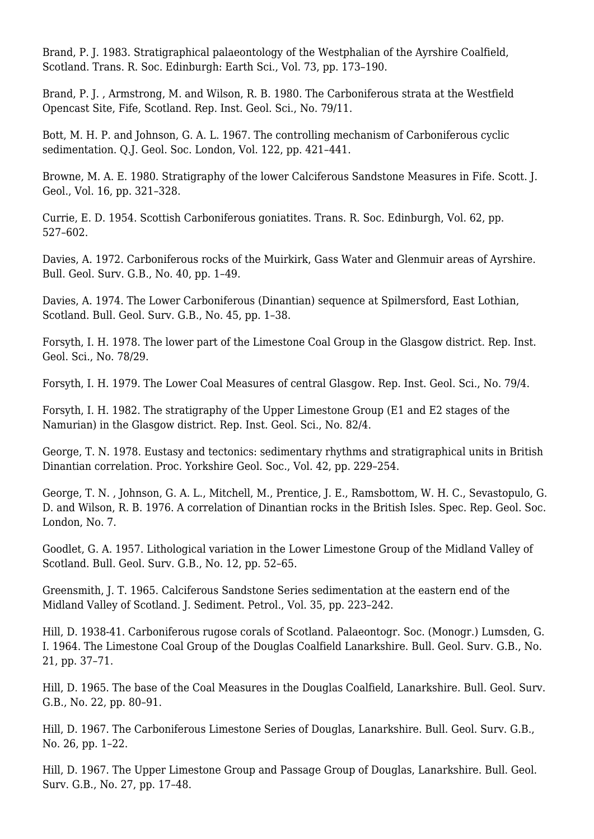Brand, P. J. 1983. Stratigraphical palaeontology of the Westphalian of the Ayrshire Coalfield, Scotland. Trans. R. Soc. Edinburgh: Earth Sci., Vol. 73, pp. 173–190.

Brand, P. J. , Armstrong, M. and Wilson, R. B. 1980. The Carboniferous strata at the Westfield Opencast Site, Fife, Scotland. Rep. Inst. Geol. Sci., No. 79/11.

Bott, M. H. P. and Johnson, G. A. L. 1967. The controlling mechanism of Carboniferous cyclic sedimentation. Q.J. Geol. Soc. London, Vol. 122, pp. 421–441.

Browne, M. A. E. 1980. Stratigraphy of the lower Calciferous Sandstone Measures in Fife. Scott. J. Geol., Vol. 16, pp. 321–328.

Currie, E. D. 1954. Scottish Carboniferous goniatites. Trans. R. Soc. Edinburgh, Vol. 62, pp. 527–602.

Davies, A. 1972. Carboniferous rocks of the Muirkirk, Gass Water and Glenmuir areas of Ayrshire. Bull. Geol. Surv. G.B., No. 40, pp. 1–49.

Davies, A. 1974. The Lower Carboniferous (Dinantian) sequence at Spilmersford, East Lothian, Scotland. Bull. Geol. Surv. G.B., No. 45, pp. 1–38.

Forsyth, I. H. 1978. The lower part of the Limestone Coal Group in the Glasgow district. Rep. Inst. Geol. Sci., No. 78/29.

Forsyth, I. H. 1979. The Lower Coal Measures of central Glasgow. Rep. Inst. Geol. Sci., No. 79/4.

Forsyth, I. H. 1982. The stratigraphy of the Upper Limestone Group (E1 and E2 stages of the Namurian) in the Glasgow district. Rep. Inst. Geol. Sci., No. 82/4.

George, T. N. 1978. Eustasy and tectonics: sedimentary rhythms and stratigraphical units in British Dinantian correlation. Proc. Yorkshire Geol. Soc., Vol. 42, pp. 229–254.

George, T. N. , Johnson, G. A. L., Mitchell, M., Prentice, J. E., Ramsbottom, W. H. C., Sevastopulo, G. D. and Wilson, R. B. 1976. A correlation of Dinantian rocks in the British Isles. Spec. Rep. Geol. Soc. London, No. 7.

Goodlet, G. A. 1957. Lithological variation in the Lower Limestone Group of the Midland Valley of Scotland. Bull. Geol. Surv. G.B., No. 12, pp. 52–65.

Greensmith, J. T. 1965. Calciferous Sandstone Series sedimentation at the eastern end of the Midland Valley of Scotland. J. Sediment. Petrol., Vol. 35, pp. 223–242.

Hill, D. 1938-41. Carboniferous rugose corals of Scotland. Palaeontogr. Soc. (Monogr.) Lumsden, G. I. 1964. The Limestone Coal Group of the Douglas Coalfield Lanarkshire. Bull. Geol. Surv. G.B., No. 21, pp. 37–71.

Hill, D. 1965. The base of the Coal Measures in the Douglas Coalfield, Lanarkshire. Bull. Geol. Surv. G.B., No. 22, pp. 80–91.

Hill, D. 1967. The Carboniferous Limestone Series of Douglas, Lanarkshire. Bull. Geol. Surv. G.B., No. 26, pp. 1–22.

Hill, D. 1967. The Upper Limestone Group and Passage Group of Douglas, Lanarkshire. Bull. Geol. Surv. G.B., No. 27, pp. 17–48.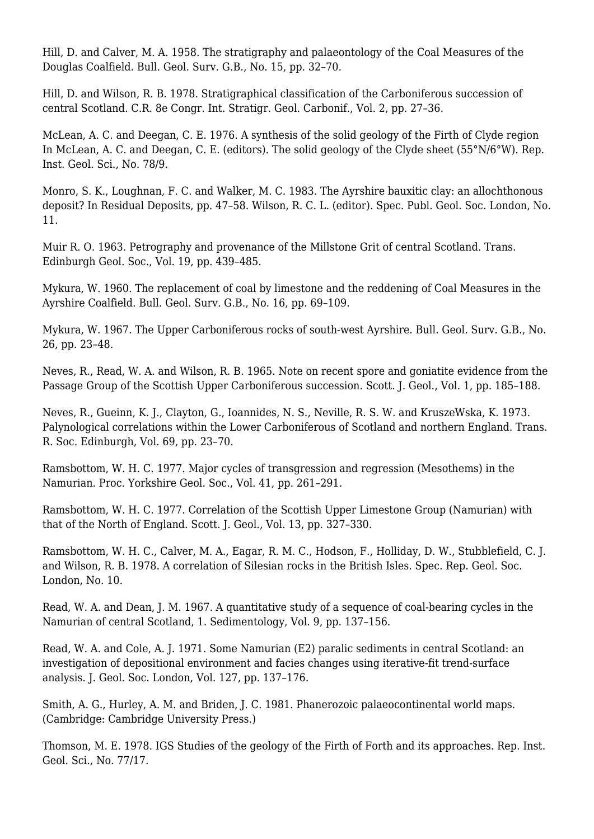Hill, D. and Calver, M. A. 1958. The stratigraphy and palaeontology of the Coal Measures of the Douglas Coalfield. Bull. Geol. Surv. G.B., No. 15, pp. 32–70.

Hill, D. and Wilson, R. B. 1978. Stratigraphical classification of the Carboniferous succession of central Scotland. C.R. 8e Congr. Int. Stratigr. Geol. Carbonif., Vol. 2, pp. 27–36.

McLean, A. C. and Deegan, C. E. 1976. A synthesis of the solid geology of the Firth of Clyde region In McLean, A. C. and Deegan, C. E. (editors). The solid geology of the Clyde sheet (55°N/6°W). Rep. Inst. Geol. Sci., No. 78/9.

Monro, S. K., Loughnan, F. C. and Walker, M. C. 1983. The Ayrshire bauxitic clay: an allochthonous deposit? In Residual Deposits, pp. 47–58. Wilson, R. C. L. (editor). Spec. Publ. Geol. Soc. London, No. 11.

Muir R. O. 1963. Petrography and provenance of the Millstone Grit of central Scotland. Trans. Edinburgh Geol. Soc., Vol. 19, pp. 439–485.

Mykura, W. 1960. The replacement of coal by limestone and the reddening of Coal Measures in the Ayrshire Coalfield. Bull. Geol. Surv. G.B., No. 16, pp. 69–109.

Mykura, W. 1967. The Upper Carboniferous rocks of south-west Ayrshire. Bull. Geol. Surv. G.B., No. 26, pp. 23–48.

Neves, R., Read, W. A. and Wilson, R. B. 1965. Note on recent spore and goniatite evidence from the Passage Group of the Scottish Upper Carboniferous succession. Scott. J. Geol., Vol. 1, pp. 185–188.

Neves, R., Gueinn, K. J., Clayton, G., Ioannides, N. S., Neville, R. S. W. and KruszeWska, K. 1973. Palynological correlations within the Lower Carboniferous of Scotland and northern England. Trans. R. Soc. Edinburgh, Vol. 69, pp. 23–70.

Ramsbottom, W. H. C. 1977. Major cycles of transgression and regression (Mesothems) in the Namurian. Proc. Yorkshire Geol. Soc., Vol. 41, pp. 261–291.

Ramsbottom, W. H. C. 1977. Correlation of the Scottish Upper Limestone Group (Namurian) with that of the North of England. Scott. J. Geol., Vol. 13, pp. 327–330.

Ramsbottom, W. H. C., Calver, M. A., Eagar, R. M. C., Hodson, F., Holliday, D. W., Stubblefield, C. J. and Wilson, R. B. 1978. A correlation of Silesian rocks in the British Isles. Spec. Rep. Geol. Soc. London, No. 10.

Read, W. A. and Dean, J. M. 1967. A quantitative study of a sequence of coal-bearing cycles in the Namurian of central Scotland, 1. Sedimentology, Vol. 9, pp. 137–156.

Read, W. A. and Cole, A. J. 1971. Some Namurian (E2) paralic sediments in central Scotland: an investigation of depositional environment and facies changes using iterative-fit trend-surface analysis. J. Geol. Soc. London, Vol. 127, pp. 137–176.

Smith, A. G., Hurley, A. M. and Briden, J. C. 1981. Phanerozoic palaeocontinental world maps. (Cambridge: Cambridge University Press.)

Thomson, M. E. 1978. IGS Studies of the geology of the Firth of Forth and its approaches. Rep. Inst. Geol. Sci., No. 77/17.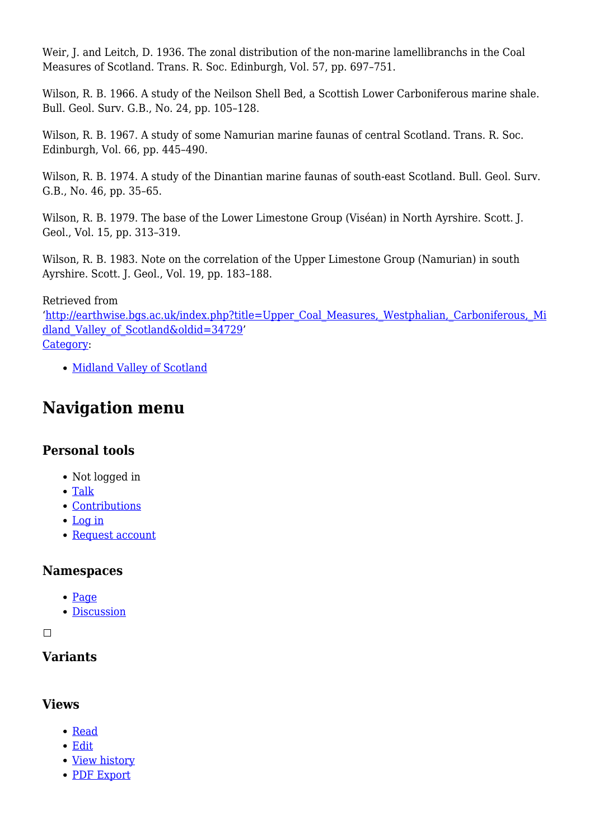Weir, J. and Leitch, D. 1936. The zonal distribution of the non-marine lamellibranchs in the Coal Measures of Scotland. Trans. R. Soc. Edinburgh, Vol. 57, pp. 697–751.

Wilson, R. B. 1966. A study of the Neilson Shell Bed, a Scottish Lower Carboniferous marine shale. Bull. Geol. Surv. G.B., No. 24, pp. 105–128.

Wilson, R. B. 1967. A study of some Namurian marine faunas of central Scotland. Trans. R. Soc. Edinburgh, Vol. 66, pp. 445–490.

Wilson, R. B. 1974. A study of the Dinantian marine faunas of south-east Scotland. Bull. Geol. Surv. G.B., No. 46, pp. 35–65.

Wilson, R. B. 1979. The base of the Lower Limestone Group (Viséan) in North Ayrshire. Scott. J. Geol., Vol. 15, pp. 313–319.

Wilson, R. B. 1983. Note on the correlation of the Upper Limestone Group (Namurian) in south Ayrshire. Scott. J. Geol., Vol. 19, pp. 183–188.

#### Retrieved from

'[http://earthwise.bgs.ac.uk/index.php?title=Upper\\_Coal\\_Measures,\\_Westphalian,\\_Carboniferous,\\_Mi](http://earthwise.bgs.ac.uk/index.php?title=Upper_Coal_Measures,_Westphalian,_Carboniferous,_Midland_Valley_of_Scotland&oldid=34729) dland Valley of Scotland&oldid=34729' [Category](http://earthwise.bgs.ac.uk/index.php/Special:Categories):

• [Midland Valley of Scotland](http://earthwise.bgs.ac.uk/index.php/Category:Midland_Valley_of_Scotland)

### **Navigation menu**

#### **Personal tools**

- Not logged in
- [Talk](http://earthwise.bgs.ac.uk/index.php/Special:MyTalk)
- [Contributions](http://earthwise.bgs.ac.uk/index.php/Special:MyContributions)
- [Log in](http://earthwise.bgs.ac.uk/index.php?title=Special:UserLogin&returnto=Upper+Coal+Measures%2C+Westphalian%2C+Carboniferous%2C+Midland+Valley+of+Scotland&returntoquery=action%3Dmpdf)
- [Request account](http://earthwise.bgs.ac.uk/index.php/Special:RequestAccount)

#### **Namespaces**

- [Page](http://earthwise.bgs.ac.uk/index.php/Upper_Coal_Measures,_Westphalian,_Carboniferous,_Midland_Valley_of_Scotland)
- [Discussion](http://earthwise.bgs.ac.uk/index.php?title=Talk:Upper_Coal_Measures,_Westphalian,_Carboniferous,_Midland_Valley_of_Scotland&action=edit&redlink=1)

 $\Box$ 

#### **Variants**

#### **Views**

- [Read](http://earthwise.bgs.ac.uk/index.php/Upper_Coal_Measures,_Westphalian,_Carboniferous,_Midland_Valley_of_Scotland)
- [Edit](http://earthwise.bgs.ac.uk/index.php?title=Upper_Coal_Measures,_Westphalian,_Carboniferous,_Midland_Valley_of_Scotland&action=edit)
- [View history](http://earthwise.bgs.ac.uk/index.php?title=Upper_Coal_Measures,_Westphalian,_Carboniferous,_Midland_Valley_of_Scotland&action=history)
- [PDF Export](http://earthwise.bgs.ac.uk/index.php?title=Upper_Coal_Measures,_Westphalian,_Carboniferous,_Midland_Valley_of_Scotland&action=mpdf)